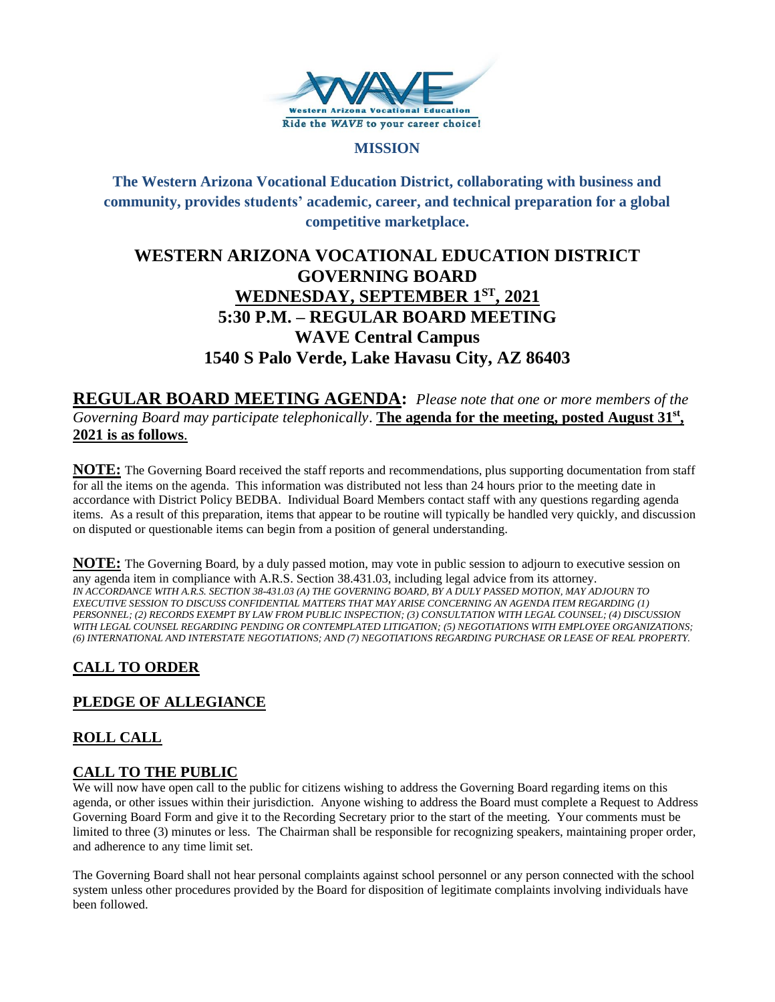

#### **MISSION**

**The Western Arizona Vocational Education District, collaborating with business and community, provides students' academic, career, and technical preparation for a global competitive marketplace.**

# **WESTERN ARIZONA VOCATIONAL EDUCATION DISTRICT GOVERNING BOARD WEDNESDAY, SEPTEMBER 1ST , 2021 5:30 P.M. – REGULAR BOARD MEETING WAVE Central Campus 1540 S Palo Verde, Lake Havasu City, AZ 86403**

**REGULAR BOARD MEETING AGENDA:** *Please note that one or more members of the*  Governing Board may participate telephonically. The agenda for the meeting, posted August 31<sup>st</sup>, **2021 is as follows**.

**NOTE:** The Governing Board received the staff reports and recommendations, plus supporting documentation from staff for all the items on the agenda. This information was distributed not less than 24 hours prior to the meeting date in accordance with District Policy BEDBA. Individual Board Members contact staff with any questions regarding agenda items. As a result of this preparation, items that appear to be routine will typically be handled very quickly, and discussion on disputed or questionable items can begin from a position of general understanding.

**NOTE:** The Governing Board, by a duly passed motion, may vote in public session to adjourn to executive session on any agenda item in compliance with A.R.S. Section 38.431.03, including legal advice from its attorney. *IN ACCORDANCE WITH A.R.S. SECTION 38-431.03 (A) THE GOVERNING BOARD, BY A DULY PASSED MOTION, MAY ADJOURN TO EXECUTIVE SESSION TO DISCUSS CONFIDENTIAL MATTERS THAT MAY ARISE CONCERNING AN AGENDA ITEM REGARDING (1) PERSONNEL; (2) RECORDS EXEMPT BY LAW FROM PUBLIC INSPECTION; (3) CONSULTATION WITH LEGAL COUNSEL; (4) DISCUSSION WITH LEGAL COUNSEL REGARDING PENDING OR CONTEMPLATED LITIGATION; (5) NEGOTIATIONS WITH EMPLOYEE ORGANIZATIONS; (6) INTERNATIONAL AND INTERSTATE NEGOTIATIONS; AND (7) NEGOTIATIONS REGARDING PURCHASE OR LEASE OF REAL PROPERTY.*

# **CALL TO ORDER**

# **PLEDGE OF ALLEGIANCE**

# **ROLL CALL**

## **CALL TO THE PUBLIC**

We will now have open call to the public for citizens wishing to address the Governing Board regarding items on this agenda, or other issues within their jurisdiction. Anyone wishing to address the Board must complete a Request to Address Governing Board Form and give it to the Recording Secretary prior to the start of the meeting. Your comments must be limited to three (3) minutes or less. The Chairman shall be responsible for recognizing speakers, maintaining proper order, and adherence to any time limit set.

The Governing Board shall not hear personal complaints against school personnel or any person connected with the school system unless other procedures provided by the Board for disposition of legitimate complaints involving individuals have been followed.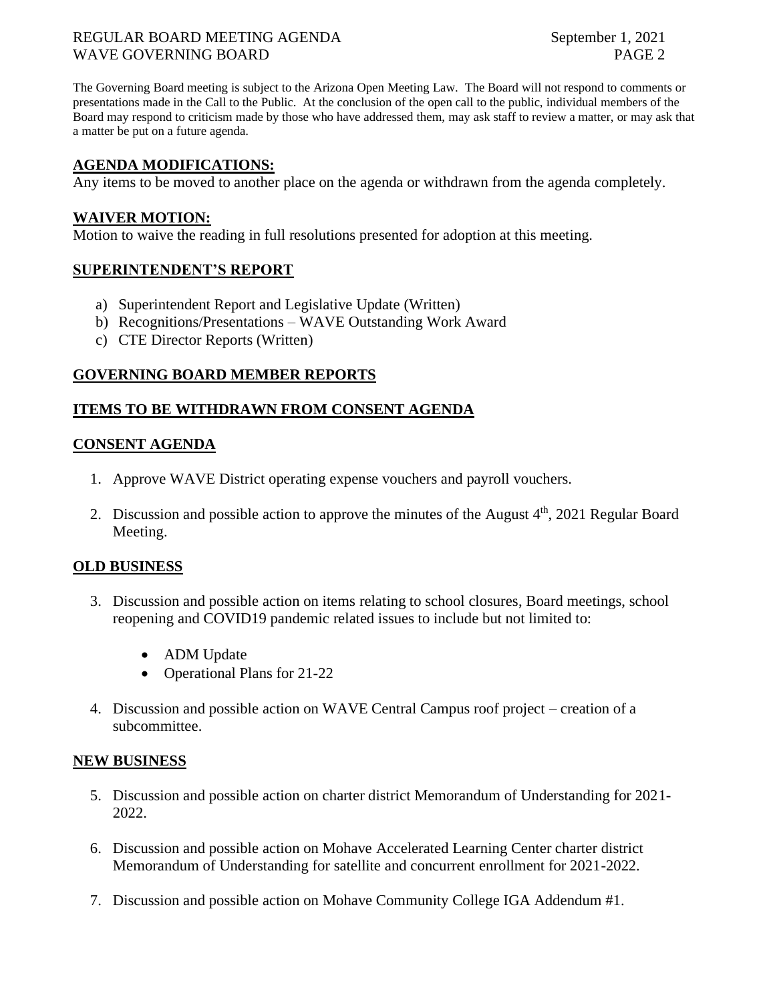## REGULAR BOARD MEETING AGENDA September 1, 2021 WAVE GOVERNING BOARD PAGE 2

The Governing Board meeting is subject to the Arizona Open Meeting Law. The Board will not respond to comments or presentations made in the Call to the Public. At the conclusion of the open call to the public, individual members of the Board may respond to criticism made by those who have addressed them, may ask staff to review a matter, or may ask that a matter be put on a future agenda.

## **AGENDA MODIFICATIONS:**

Any items to be moved to another place on the agenda or withdrawn from the agenda completely.

#### **WAIVER MOTION:**

Motion to waive the reading in full resolutions presented for adoption at this meeting.

# **SUPERINTENDENT'S REPORT**

- a) Superintendent Report and Legislative Update (Written)
- b) Recognitions/Presentations WAVE Outstanding Work Award
- c) CTE Director Reports (Written)

## **GOVERNING BOARD MEMBER REPORTS**

## **ITEMS TO BE WITHDRAWN FROM CONSENT AGENDA**

## **CONSENT AGENDA**

- 1. Approve WAVE District operating expense vouchers and payroll vouchers.
- 2. Discussion and possible action to approve the minutes of the August  $4<sup>th</sup>$ , 2021 Regular Board Meeting.

#### **OLD BUSINESS**

- 3. Discussion and possible action on items relating to school closures, Board meetings, school reopening and COVID19 pandemic related issues to include but not limited to:
	- ADM Update
	- Operational Plans for 21-22
- 4. Discussion and possible action on WAVE Central Campus roof project creation of a subcommittee.

#### **NEW BUSINESS**

- 5. Discussion and possible action on charter district Memorandum of Understanding for 2021- 2022.
- 6. Discussion and possible action on Mohave Accelerated Learning Center charter district Memorandum of Understanding for satellite and concurrent enrollment for 2021-2022.
- 7. Discussion and possible action on Mohave Community College IGA Addendum #1.